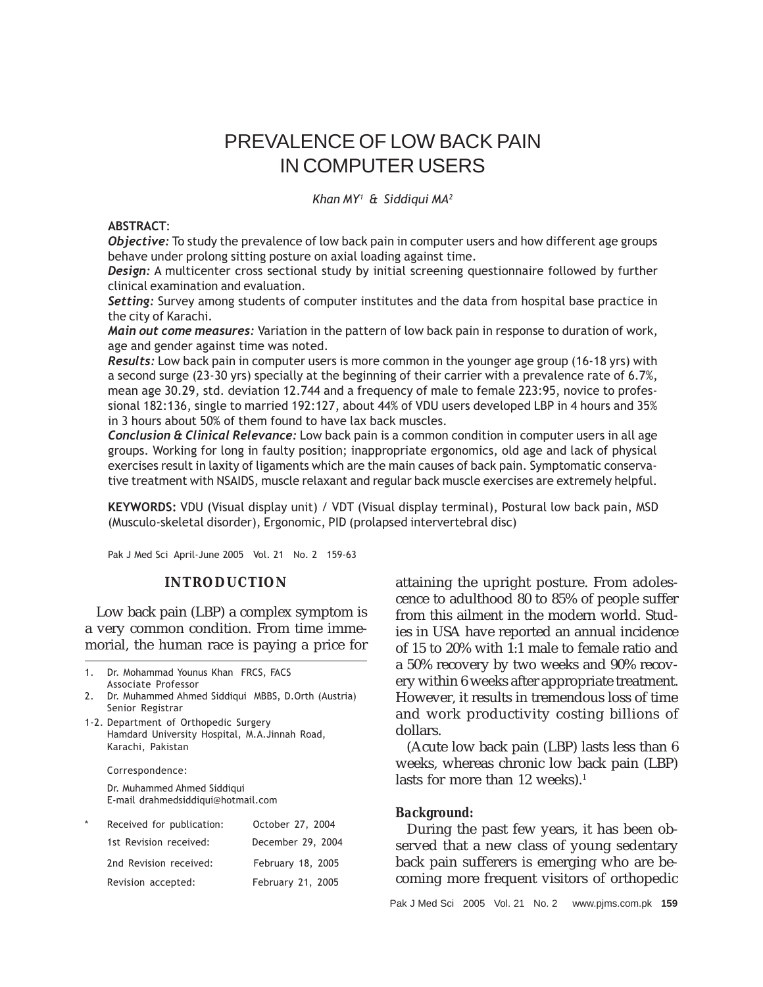# PREVALENCE OF LOW BACK PAIN IN COMPUTER USERS

Khan MY<sup>1</sup> & Siddiqui MA<sup>2</sup>

## ABSTRACT:

Objective: To study the prevalence of low back pain in computer users and how different age groups behave under prolong sitting posture on axial loading against time.

**Design:** A multicenter cross sectional study by initial screening questionnaire followed by further clinical examination and evaluation.

Setting: Survey among students of computer institutes and the data from hospital base practice in the city of Karachi.

Main out come measures: Variation in the pattern of low back pain in response to duration of work, age and gender against time was noted.

Results: Low back pain in computer users is more common in the younger age group (16-18 yrs) with a second surge (23-30 yrs) specially at the beginning of their carrier with a prevalence rate of 6.7%, mean age 30.29, std. deviation 12.744 and a frequency of male to female 223:95, novice to professional 182:136, single to married 192:127, about 44% of VDU users developed LBP in 4 hours and 35% in 3 hours about 50% of them found to have lax back muscles.

Conclusion & Clinical Relevance: Low back pain is a common condition in computer users in all age groups. Working for long in faulty position; inappropriate ergonomics, old age and lack of physical exercises result in laxity of ligaments which are the main causes of back pain. Symptomatic conservative treatment with NSAIDS, muscle relaxant and regular back muscle exercises are extremely helpful.

KEYWORDS: VDU (Visual display unit) / VDT (Visual display terminal), Postural low back pain, MSD (Musculo-skeletal disorder), Ergonomic, PID (prolapsed intervertebral disc)

Pak J Med Sci April-June 2005 Vol. 21 No. 2 159-63

# **INTRODUCTION**

Low back pain (LBP) a complex symptom is a very common condition. From time immemorial, the human race is paying a price for

| Dr. Mohammad Younus Khan FRCS, FACS |  |
|-------------------------------------|--|
| Associate Professor                 |  |

2. Dr. Muhammed Ahmed Siddiqui MBBS, D.Orth (Austria) Senior Registrar

1-2. Department of Orthopedic Surgery Hamdard University Hospital, M.A.Jinnah Road, Karachi, Pakistan

Correspondence:

Dr. Muhammed Ahmed Siddiqui E-mail drahmedsiddiqui@hotmail.com

| $\star$ | Received for publication: | October 27, 2004  |
|---------|---------------------------|-------------------|
|         | 1st Revision received:    | December 29, 2004 |
|         | 2nd Revision received:    | February 18, 2005 |
|         | Revision accepted:        | February 21, 2005 |

attaining the upright posture. From adolescence to adulthood 80 to 85% of people suffer from this ailment in the modern world. Studies in USA have reported an annual incidence of 15 to 20% with 1:1 male to female ratio and a 50% recovery by two weeks and 90% recovery within 6 weeks after appropriate treatment. However, it results in tremendous loss of time and work productivity costing billions of dollars.

(Acute low back pain (LBP) lasts less than 6 weeks, whereas chronic low back pain (LBP) lasts for more than 12 weeks).<sup>1</sup>

# *Background:*

During the past few years, it has been observed that a new class of young sedentary back pain sufferers is emerging who are becoming more frequent visitors of orthopedic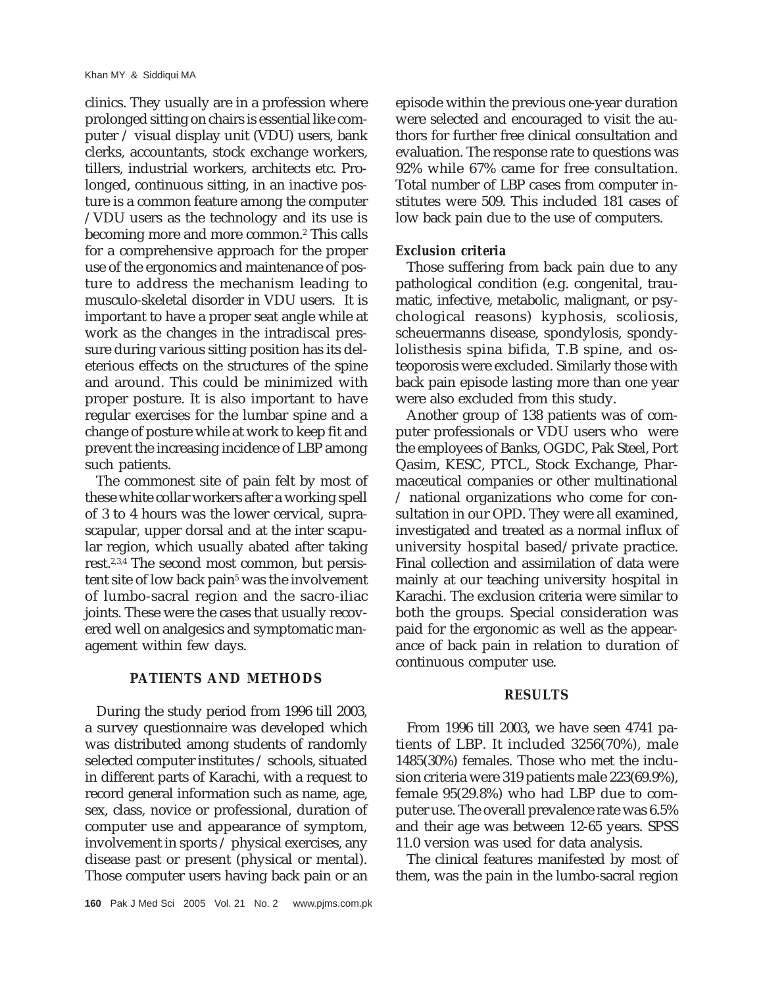clinics. They usually are in a profession where prolonged sitting on chairs is essential like computer / visual display unit (VDU) users, bank clerks, accountants, stock exchange workers, tillers, industrial workers, architects etc. Prolonged, continuous sitting, in an inactive posture is a common feature among the computer /VDU users as the technology and its use is becoming more and more common.2 This calls for a comprehensive approach for the proper use of the ergonomics and maintenance of posture to address the mechanism leading to musculo-skeletal disorder in VDU users. It is important to have a proper seat angle while at work as the changes in the intradiscal pressure during various sitting position has its deleterious effects on the structures of the spine and around. This could be minimized with proper posture. It is also important to have regular exercises for the lumbar spine and a change of posture while at work to keep fit and prevent the increasing incidence of LBP among such patients.

The commonest site of pain felt by most of these white collar workers after a working spell of 3 to 4 hours was the lower cervical, suprascapular, upper dorsal and at the inter scapular region, which usually abated after taking rest.2,3,4 The second most common, but persistent site of low back pain<sup>5</sup> was the involvement of lumbo-sacral region and the sacro-iliac joints. These were the cases that usually recovered well on analgesics and symptomatic management within few days.

# **PATIENTS AND METHODS**

During the study period from 1996 till 2003, a survey questionnaire was developed which was distributed among students of randomly selected computer institutes / schools, situated in different parts of Karachi, with a request to record general information such as name, age, sex, class, novice or professional, duration of computer use and appearance of symptom, involvement in sports / physical exercises, any disease past or present (physical or mental). Those computer users having back pain or an episode within the previous one-year duration were selected and encouraged to visit the authors for further free clinical consultation and evaluation. The response rate to questions was 92% while 67% came for free consultation. Total number of LBP cases from computer institutes were 509. This included 181 cases of low back pain due to the use of computers.

#### *Exclusion criteria*

Those suffering from back pain due to any pathological condition (e.g. congenital, traumatic, infective, metabolic, malignant, or psychological reasons) kyphosis, scoliosis, scheuermanns disease, spondylosis, spondylolisthesis spina bifida, T.B spine, and osteoporosis were excluded. Similarly those with back pain episode lasting more than one year were also excluded from this study.

Another group of 138 patients was of computer professionals or VDU users who were the employees of Banks, OGDC, Pak Steel, Port Qasim, KESC, PTCL, Stock Exchange, Pharmaceutical companies or other multinational / national organizations who come for consultation in our OPD. They were all examined, investigated and treated as a normal influx of university hospital based/private practice. Final collection and assimilation of data were mainly at our teaching university hospital in Karachi. The exclusion criteria were similar to both the groups. Special consideration was paid for the ergonomic as well as the appearance of back pain in relation to duration of continuous computer use.

#### **RESULTS**

From 1996 till 2003, we have seen 4741 patients of LBP. It included 3256(70%), male 1485(30%) females. Those who met the inclusion criteria were 319 patients male 223(69.9%), female 95(29.8%) who had LBP due to computer use. The overall prevalence rate was 6.5% and their age was between 12-65 years. SPSS 11.0 version was used for data analysis.

The clinical features manifested by most of them, was the pain in the lumbo-sacral region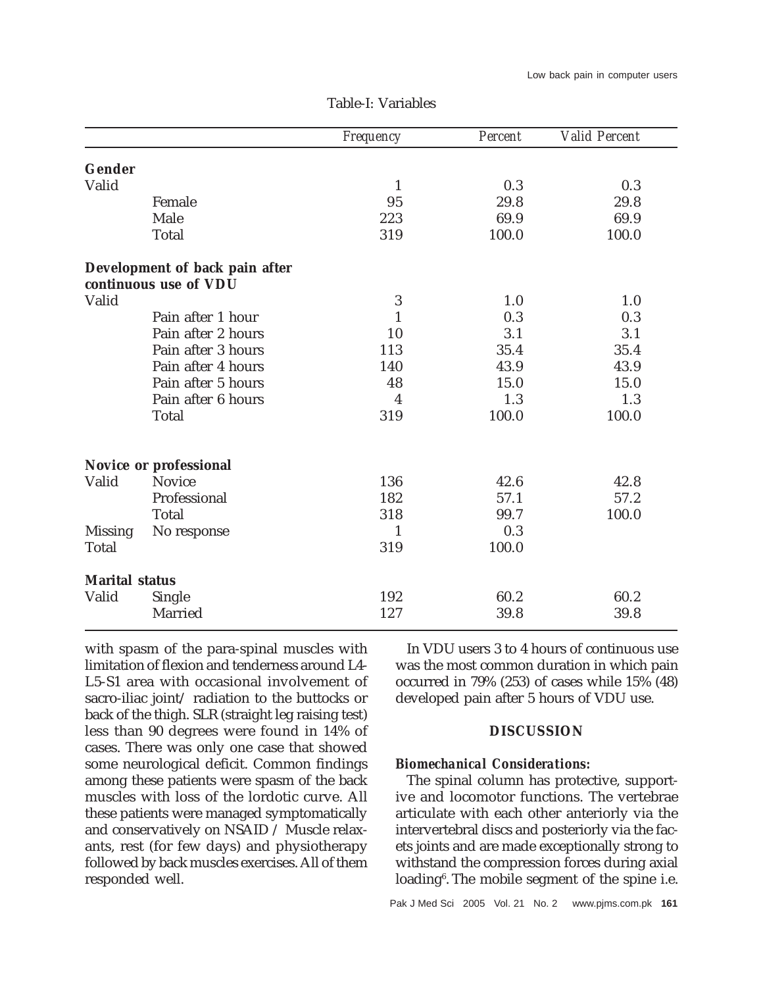|                       |                                                         | Frequency    | Percent | <b>Valid Percent</b> |
|-----------------------|---------------------------------------------------------|--------------|---------|----------------------|
| Gender                |                                                         |              |         |                      |
| Valid                 |                                                         | $\mathbf{1}$ | 0.3     | 0.3                  |
|                       | Female                                                  | 95           | 29.8    | 29.8                 |
|                       | Male                                                    | 223          | 69.9    | 69.9                 |
|                       | <b>Total</b>                                            | 319          | 100.0   | 100.0                |
|                       | Development of back pain after<br>continuous use of VDU |              |         |                      |
| Valid                 |                                                         | 3            | 1.0     | 1.0                  |
|                       | Pain after 1 hour                                       | 1            | 0.3     | 0.3                  |
|                       | Pain after 2 hours                                      | 10           | 3.1     | 3.1                  |
|                       | Pain after 3 hours                                      | 113          | 35.4    | 35.4                 |
|                       | Pain after 4 hours                                      | 140          | 43.9    | 43.9                 |
|                       | Pain after 5 hours                                      | 48           | 15.0    | 15.0                 |
|                       | Pain after 6 hours                                      | 4            | 1.3     | 1.3                  |
|                       | Total                                                   | 319          | 100.0   | 100.0                |
|                       | Novice or professional                                  |              |         |                      |
| Valid                 | <b>Novice</b>                                           | 136          | 42.6    | 42.8                 |
|                       | Professional                                            | 182          | 57.1    | 57.2                 |
|                       | Total                                                   | 318          | 99.7    | 100.0                |
| <b>Missing</b>        | No response                                             | 1            | 0.3     |                      |
| <b>Total</b>          |                                                         | 319          | 100.0   |                      |
| <b>Marital status</b> |                                                         |              |         |                      |
| Valid                 | Single                                                  | 192          | 60.2    | 60.2                 |
|                       | Married                                                 | 127          | 39.8    | 39.8                 |

Table-I: Variables

with spasm of the para-spinal muscles with limitation of flexion and tenderness around L4- L5-S1 area with occasional involvement of sacro-iliac joint/ radiation to the buttocks or back of the thigh. SLR (straight leg raising test) less than 90 degrees were found in 14% of cases. There was only one case that showed some neurological deficit. Common findings among these patients were spasm of the back muscles with loss of the lordotic curve. All these patients were managed symptomatically and conservatively on NSAID / Muscle relaxants, rest (for few days) and physiotherapy followed by back muscles exercises. All of them responded well.

In VDU users 3 to 4 hours of continuous use was the most common duration in which pain occurred in 79% (253) of cases while 15% (48) developed pain after 5 hours of VDU use.

## **DISCUSSION**

#### *Biomechanical Considerations:*

The spinal column has protective, supportive and locomotor functions. The vertebrae articulate with each other anteriorly via the intervertebral discs and posteriorly via the facets joints and are made exceptionally strong to withstand the compression forces during axial loading6 . The mobile segment of the spine i.e.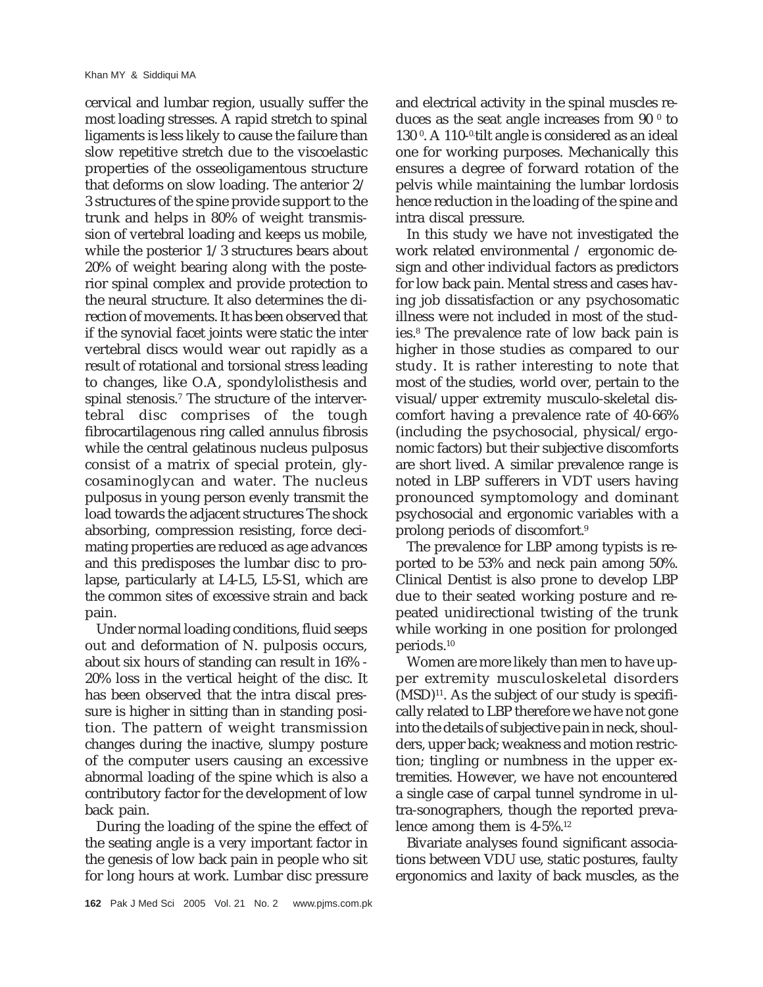cervical and lumbar region, usually suffer the most loading stresses. A rapid stretch to spinal ligaments is less likely to cause the failure than slow repetitive stretch due to the viscoelastic properties of the osseoligamentous structure that deforms on slow loading. The anterior 2/ 3 structures of the spine provide support to the trunk and helps in 80% of weight transmission of vertebral loading and keeps us mobile, while the posterior 1/3 structures bears about 20% of weight bearing along with the posterior spinal complex and provide protection to the neural structure. It also determines the direction of movements. It has been observed that if the synovial facet joints were static the inter vertebral discs would wear out rapidly as a result of rotational and torsional stress leading to changes, like O.A, spondylolisthesis and spinal stenosis.7 The structure of the intervertebral disc comprises of the tough fibrocartilagenous ring called annulus fibrosis while the central gelatinous nucleus pulposus consist of a matrix of special protein, glycosaminoglycan and water. The nucleus pulposus in young person evenly transmit the load towards the adjacent structures The shock absorbing, compression resisting, force decimating properties are reduced as age advances and this predisposes the lumbar disc to prolapse, particularly at L4-L5, L5-S1, which are the common sites of excessive strain and back pain.

Under normal loading conditions, fluid seeps out and deformation of N. pulposis occurs, about six hours of standing can result in 16% - 20% loss in the vertical height of the disc. It has been observed that the intra discal pressure is higher in sitting than in standing position. The pattern of weight transmission changes during the inactive, slumpy posture of the computer users causing an excessive abnormal loading of the spine which is also a contributory factor for the development of low back pain.

During the loading of the spine the effect of the seating angle is a very important factor in the genesis of low back pain in people who sit for long hours at work. Lumbar disc pressure and electrical activity in the spinal muscles reduces as the seat angle increases from  $90$   $^{\rm o}$  to 130<sup>°</sup>. A 110-<sup>0</sup> tilt angle is considered as an ideal one for working purposes. Mechanically this ensures a degree of forward rotation of the pelvis while maintaining the lumbar lordosis hence reduction in the loading of the spine and intra discal pressure.

In this study we have not investigated the work related environmental / ergonomic design and other individual factors as predictors for low back pain. Mental stress and cases having job dissatisfaction or any psychosomatic illness were not included in most of the studies.8 The prevalence rate of low back pain is higher in those studies as compared to our study. It is rather interesting to note that most of the studies, world over, pertain to the visual/upper extremity musculo-skeletal discomfort having a prevalence rate of 40-66% (including the psychosocial, physical/ergonomic factors) but their subjective discomforts are short lived. A similar prevalence range is noted in LBP sufferers in VDT users having pronounced symptomology and dominant psychosocial and ergonomic variables with a prolong periods of discomfort.9

The prevalence for LBP among typists is reported to be 53% and neck pain among 50%. Clinical Dentist is also prone to develop LBP due to their seated working posture and repeated unidirectional twisting of the trunk while working in one position for prolonged periods.10

Women are more likely than men to have upper extremity musculoskeletal disorders  $(MSD)^{11}$ . As the subject of our study is specifically related to LBP therefore we have not gone into the details of subjective pain in neck, shoulders, upper back; weakness and motion restriction; tingling or numbness in the upper extremities. However, we have not encountered a single case of carpal tunnel syndrome in ultra-sonographers, though the reported prevalence among them is  $4-5\%$ <sup>12</sup>

Bivariate analyses found significant associations between VDU use, static postures, faulty ergonomics and laxity of back muscles, as the